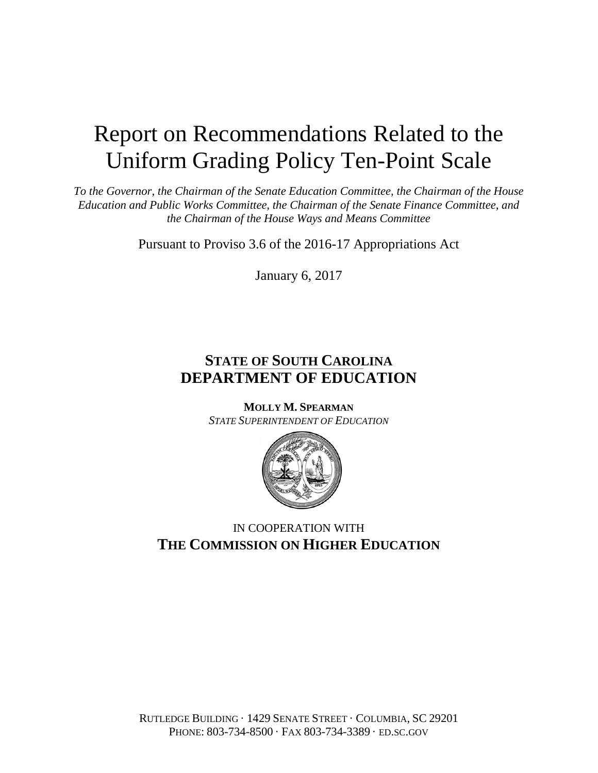# Report on Recommendations Related to the Uniform Grading Policy Ten-Point Scale

*To the Governor, the Chairman of the Senate Education Committee, the Chairman of the House Education and Public Works Committee, the Chairman of the Senate Finance Committee, and the Chairman of the House Ways and Means Committee*

Pursuant to Proviso 3.6 of the 2016-17 Appropriations Act

January 6, 2017

# **STATE OF SOUTH CAROLINA DEPARTMENT OF EDUCATION**

**MOLLY M. SPEARMAN** *STATE SUPERINTENDENT OF EDUCATION*



# IN COOPERATION WITH **THE COMMISSION ON HIGHER EDUCATION**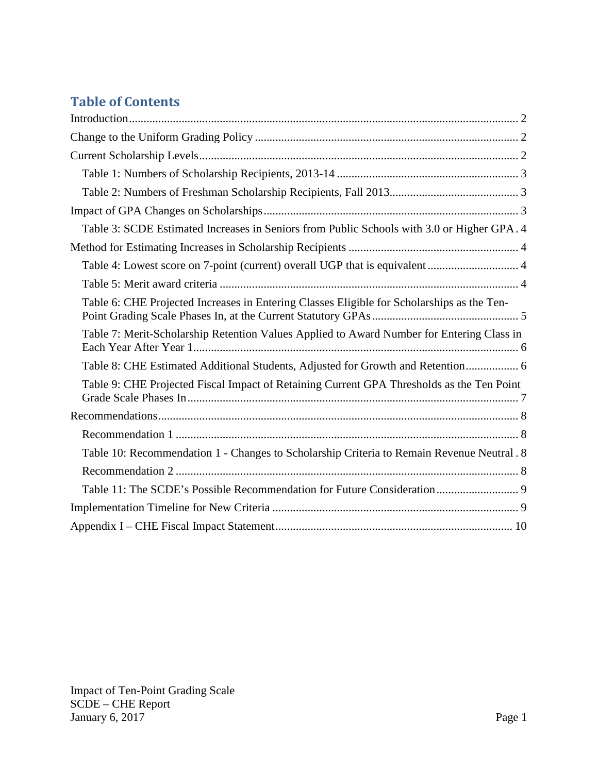# **Table of Contents**

| Table 3: SCDE Estimated Increases in Seniors from Public Schools with 3.0 or Higher GPA. 4 |
|--------------------------------------------------------------------------------------------|
|                                                                                            |
|                                                                                            |
|                                                                                            |
| Table 6: CHE Projected Increases in Entering Classes Eligible for Scholarships as the Ten- |
| Table 7: Merit-Scholarship Retention Values Applied to Award Number for Entering Class in  |
| Table 8: CHE Estimated Additional Students, Adjusted for Growth and Retention 6            |
| Table 9: CHE Projected Fiscal Impact of Retaining Current GPA Thresholds as the Ten Point  |
|                                                                                            |
|                                                                                            |
| Table 10: Recommendation 1 - Changes to Scholarship Criteria to Remain Revenue Neutral. 8  |
|                                                                                            |
|                                                                                            |
|                                                                                            |
|                                                                                            |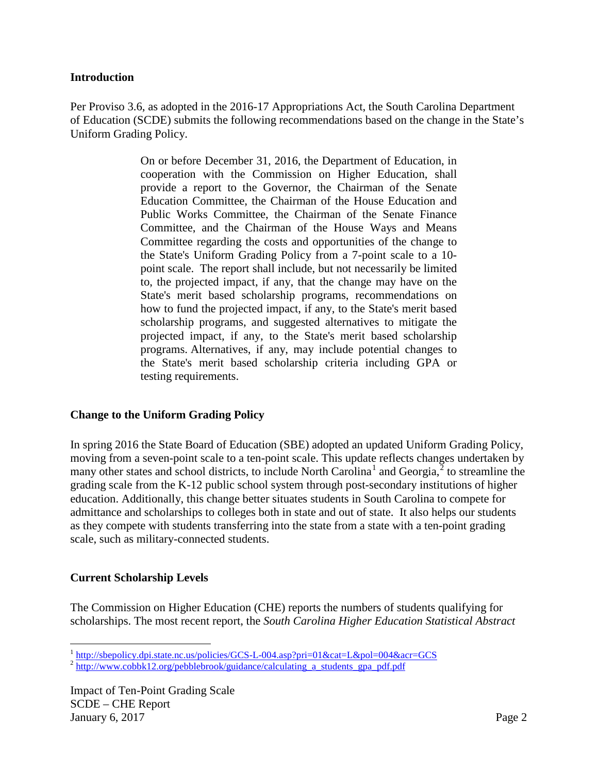#### <span id="page-2-0"></span>**Introduction**

Per Proviso 3.6, as adopted in the 2016-17 Appropriations Act, the South Carolina Department of Education (SCDE) submits the following recommendations based on the change in the State's Uniform Grading Policy.

> On or before December 31, 2016, the Department of Education, in cooperation with the Commission on Higher Education, shall provide a report to the Governor, the Chairman of the Senate Education Committee, the Chairman of the House Education and Public Works Committee, the Chairman of the Senate Finance Committee, and the Chairman of the House Ways and Means Committee regarding the costs and opportunities of the change to the State's Uniform Grading Policy from a 7-point scale to a 10 point scale. The report shall include, but not necessarily be limited to, the projected impact, if any, that the change may have on the State's merit based scholarship programs, recommendations on how to fund the projected impact, if any, to the State's merit based scholarship programs, and suggested alternatives to mitigate the projected impact, if any, to the State's merit based scholarship programs. Alternatives, if any, may include potential changes to the State's merit based scholarship criteria including GPA or testing requirements.

#### <span id="page-2-1"></span>**Change to the Uniform Grading Policy**

In spring 2016 the State Board of Education (SBE) adopted an updated Uniform Grading Policy, moving from a seven-point scale to a ten-point scale. This update reflects changes undertaken by many other states and school districts, to include North Carolina<sup>[1](#page-2-3)</sup> and Georgia, $^2$  $^2$  to streamline the grading scale from the K-12 public school system through post-secondary institutions of higher education. Additionally, this change better situates students in South Carolina to compete for admittance and scholarships to colleges both in state and out of state. It also helps our students as they compete with students transferring into the state from a state with a ten-point grading scale, such as military-connected students.

### <span id="page-2-2"></span>**Current Scholarship Levels**

The Commission on Higher Education (CHE) reports the numbers of students qualifying for scholarships. The most recent report, the *South Carolina Higher Education Statistical Abstract* 

<span id="page-2-3"></span> $\frac{1}{2}$  <http://sbepolicy.dpi.state.nc.us/policies/GCS-L-004.asp?pri=01&cat=L&pol=004&acr=GCS>  $\frac{2}{\text{http://www.cobbk12.org/pebblebrook/guidance/calculating_a_students\_gpa.pdf.pdf}}$ 

<span id="page-2-4"></span>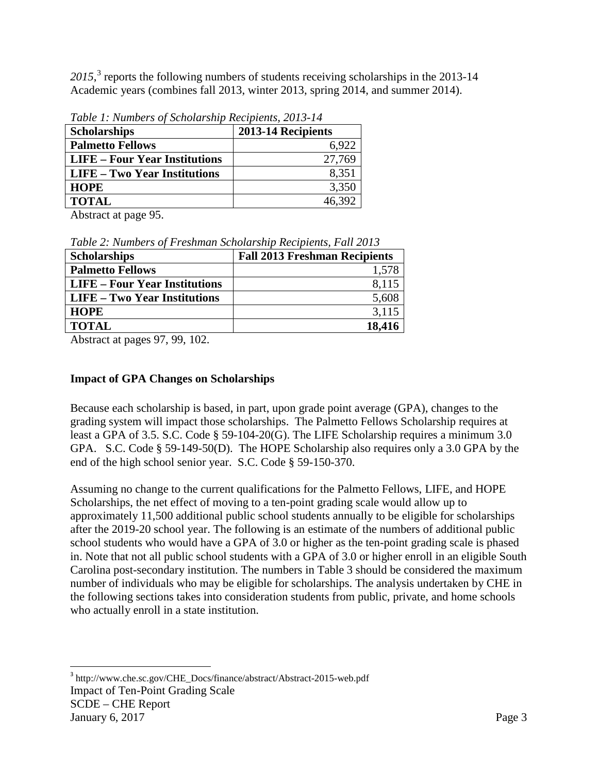2015,<sup>[3](#page-3-3)</sup> reports the following numbers of students receiving scholarships in the 2013-14 Academic years (combines fall 2013, winter 2013, spring 2014, and summer 2014).

| Tuble 1. INVINCED Of Scholarship Recipients, 2015-14 |                    |  |  |  |  |  |
|------------------------------------------------------|--------------------|--|--|--|--|--|
| <b>Scholarships</b>                                  | 2013-14 Recipients |  |  |  |  |  |
| <b>Palmetto Fellows</b>                              | 6,922              |  |  |  |  |  |
| LIFE – Four Year Institutions                        | 27,769             |  |  |  |  |  |
| LIFE – Two Year Institutions                         | 8,351              |  |  |  |  |  |
| <b>HOPE</b>                                          | 3,350              |  |  |  |  |  |
| <b>TOTAL</b>                                         | 46,392             |  |  |  |  |  |

<span id="page-3-0"></span>*Table 1: Numbers of Scholarship Recipients, 2013-14*

Abstract at page 95.

<span id="page-3-1"></span>

| Table 2: Numbers of Freshman Scholarship Recipients, Fall 2013 |  |  |
|----------------------------------------------------------------|--|--|
|                                                                |  |  |

| <b>Fall 2013 Freshman Recipients</b> |
|--------------------------------------|
| 1,578                                |
| 8,115                                |
| 5,608                                |
| 3,115                                |
| 18,416                               |
|                                      |

Abstract at pages 97, 99, 102.

#### <span id="page-3-2"></span>**Impact of GPA Changes on Scholarships**

Because each scholarship is based, in part, upon grade point average (GPA), changes to the grading system will impact those scholarships. The Palmetto Fellows Scholarship requires at least a GPA of 3.5. S.C. Code § 59-104-20(G). The LIFE Scholarship requires a minimum 3.0 GPA. S.C. Code § 59-149-50(D). The HOPE Scholarship also requires only a 3.0 GPA by the end of the high school senior year. S.C. Code § 59-150-370.

Assuming no change to the current qualifications for the Palmetto Fellows, LIFE, and HOPE Scholarships, the net effect of moving to a ten-point grading scale would allow up to approximately 11,500 additional public school students annually to be eligible for scholarships after the 2019-20 school year. The following is an estimate of the numbers of additional public school students who would have a GPA of 3.0 or higher as the ten-point grading scale is phased in. Note that not all public school students with a GPA of 3.0 or higher enroll in an eligible South Carolina post-secondary institution. The numbers in Table 3 should be considered the maximum number of individuals who may be eligible for scholarships. The analysis undertaken by CHE in the following sections takes into consideration students from public, private, and home schools who actually enroll in a state institution.

<span id="page-3-3"></span>Impact of Ten-Point Grading Scale SCDE – CHE Report January 6, 2017  $P$  and  $P$  and  $P$  and  $P$  and  $P$  and  $P$  and  $P$  and  $P$  and  $P$  and  $P$  and  $P$  and  $P$  and  $P$  and  $P$  and  $P$  and  $P$  and  $P$  and  $P$  and  $P$  and  $P$  and  $P$  and  $P$  and  $P$  and  $P$  and  $P$  and  $P$  a <sup>3</sup> http://www.che.sc.gov/CHE\_Docs/finance/abstract/Abstract-2015-web.pdf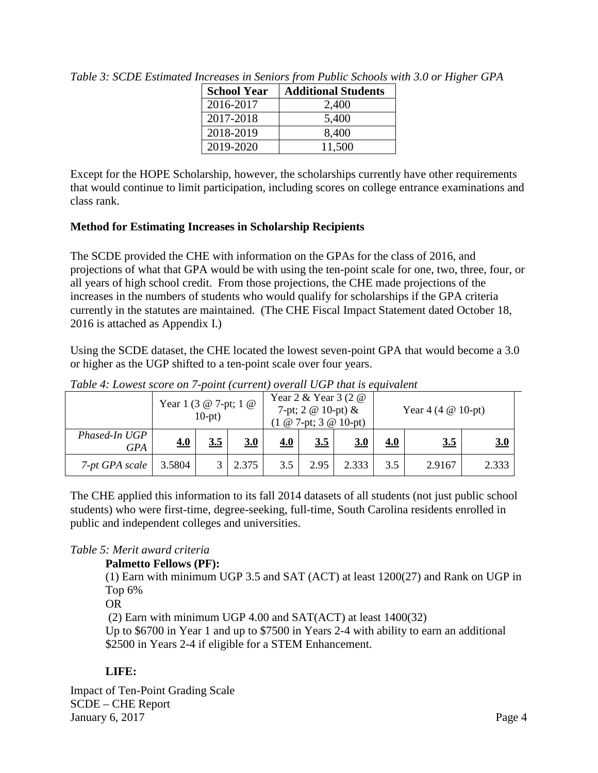| <b>School Year</b> | <b>Additional Students</b> |
|--------------------|----------------------------|
| 2016-2017          | 2,400                      |
| 2017-2018          | 5,400                      |
| 2018-2019          | 8,400                      |
| 2019-2020          | 11,500                     |

<span id="page-4-0"></span>*Table 3: SCDE Estimated Increases in Seniors from Public Schools with 3.0 or Higher GPA*

Except for the HOPE Scholarship, however, the scholarships currently have other requirements that would continue to limit participation, including scores on college entrance examinations and class rank.

### <span id="page-4-1"></span>**Method for Estimating Increases in Scholarship Recipients**

The SCDE provided the CHE with information on the GPAs for the class of 2016, and projections of what that GPA would be with using the ten-point scale for one, two, three, four, or all years of high school credit. From those projections, the CHE made projections of the increases in the numbers of students who would qualify for scholarships if the GPA criteria currently in the statutes are maintained. (The CHE Fiscal Impact Statement dated October 18, 2016 is attached as Appendix I.)

Using the SCDE dataset, the CHE located the lowest seven-point GPA that would become a 3.0 or higher as the UGP shifted to a ten-point scale over four years.

|                      |        | Year 1 (3 $@$ 7-pt; 1 $@$<br>$10-pt)$ |       | Year $2 \&$ Year $3 (2 \&$<br>7-pt; $2 \otimes 10$ -pt) &<br>$(1 \t@ 7-pt; 3 \t@ 10-pt)$ |      |       | Year 4 (4 $@$ 10-pt) |        |       |
|----------------------|--------|---------------------------------------|-------|------------------------------------------------------------------------------------------|------|-------|----------------------|--------|-------|
| Phased-In UGP<br>GPA | 4.0    | 3.5                                   | 3.0   | 4.0                                                                                      | 3.5  | 3.0   | 4.0                  | 3.5    | 3.0   |
| 7-pt GPA scale       | 3.5804 |                                       | 2.375 | 3.5                                                                                      | 2.95 | 2.333 | 3.5                  | 2.9167 | 2.333 |

<span id="page-4-2"></span>*Table 4: Lowest score on 7-point (current) overall UGP that is equivalent*

The CHE applied this information to its fall 2014 datasets of all students (not just public school students) who were first-time, degree-seeking, full-time, South Carolina residents enrolled in public and independent colleges and universities.

### <span id="page-4-3"></span>*Table 5: Merit award criteria*

### **Palmetto Fellows (PF):**

(1) Earn with minimum UGP 3.5 and SAT (ACT) at least 1200(27) and Rank on UGP in Top 6%

OR

(2) Earn with minimum UGP 4.00 and SAT(ACT) at least 1400(32) Up to \$6700 in Year 1 and up to \$7500 in Years 2-4 with ability to earn an additional

\$2500 in Years 2-4 if eligible for a STEM Enhancement.

## **LIFE:**

Impact of Ten-Point Grading Scale SCDE – CHE Report January 6, 2017  $P_{\text{age 4}}$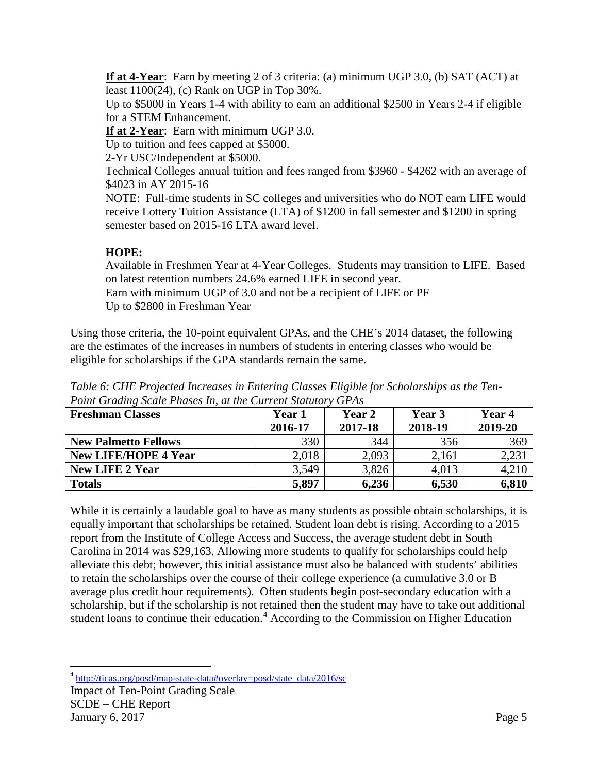**If at 4-Year**: Earn by meeting 2 of 3 criteria: (a) minimum UGP 3.0, (b) SAT (ACT) at least 1100(24), (c) Rank on UGP in Top 30%.

Up to \$5000 in Years 1-4 with ability to earn an additional \$2500 in Years 2-4 if eligible for a STEM Enhancement.

**If at 2-Year**: Earn with minimum UGP 3.0.

Up to tuition and fees capped at \$5000.

2-Yr USC/Independent at \$5000.

Technical Colleges annual tuition and fees ranged from \$3960 - \$4262 with an average of \$4023 in AY 2015-16

NOTE: Full-time students in SC colleges and universities who do NOT earn LIFE would receive Lottery Tuition Assistance (LTA) of \$1200 in fall semester and \$1200 in spring semester based on 2015-16 LTA award level.

### **HOPE:**

Available in Freshmen Year at 4-Year Colleges. Students may transition to LIFE. Based on latest retention numbers 24.6% earned LIFE in second year. Earn with minimum UGP of 3.0 and not be a recipient of LIFE or PF Up to \$2800 in Freshman Year

Using those criteria, the 10-point equivalent GPAs, and the CHE's 2014 dataset, the following are the estimates of the increases in numbers of students in entering classes who would be eligible for scholarships if the GPA standards remain the same.

| <b>Freshman Classes</b>     | <b>Year 1</b><br>2016-17 | Year 2<br>2017-18 | Year 3<br>2018-19 | Year 4<br>2019-20 |
|-----------------------------|--------------------------|-------------------|-------------------|-------------------|
| <b>New Palmetto Fellows</b> | 330                      | 344               | 356               | 369               |
| <b>New LIFE/HOPE 4 Year</b> | 2,018                    | 2,093             | 2,161             | 2,231             |
| <b>New LIFE 2 Year</b>      | 3,549                    | 3,826             | 4,013             | 4,210             |
| <b>Totals</b>               | 5,897                    | 6,236             | 6,530             | 6,810             |

<span id="page-5-0"></span>*Table 6: CHE Projected Increases in Entering Classes Eligible for Scholarships as the Ten-Point Grading Scale Phases In, at the Current Statutory GPAs*

While it is certainly a laudable goal to have as many students as possible obtain scholarships, it is equally important that scholarships be retained. Student loan debt is rising. According to a 2015 report from the Institute of College Access and Success, the average student debt in South Carolina in 2014 was \$29,163. Allowing more students to qualify for scholarships could help alleviate this debt; however, this initial assistance must also be balanced with students' abilities to retain the scholarships over the course of their college experience (a cumulative 3.0 or B average plus credit hour requirements). Often students begin post-secondary education with a scholarship, but if the scholarship is not retained then the student may have to take out additional student loans to continue their education.<sup>[4](#page-5-1)</sup> According to the Commission on Higher Education

<span id="page-5-1"></span>Impact of Ten-Point Grading Scale SCDE – CHE Report January 6, 2017 Page 5 <sup>4</sup> [http://ticas.org/posd/map-state-data#overlay=posd/state\\_data/2016/sc](http://ticas.org/posd/map-state-data#overlay=posd/state_data/2016/sc)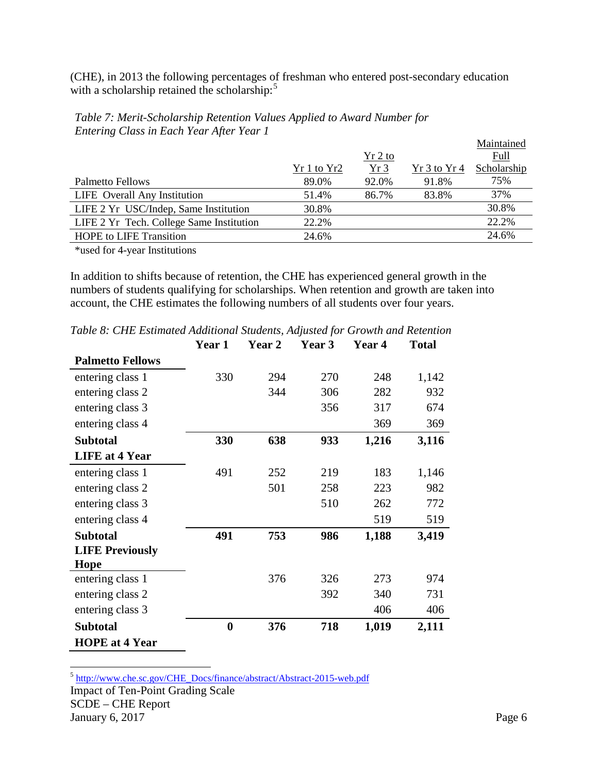(CHE), in 2013 the following percentages of freshman who entered post-secondary education with a scholarship retained the scholarship:<sup>[5](#page-6-2)</sup>

|                                                                                                                                                                  |             |           |              | Maintained  |
|------------------------------------------------------------------------------------------------------------------------------------------------------------------|-------------|-----------|--------------|-------------|
|                                                                                                                                                                  |             | $Yr$ 2 to |              | Full        |
|                                                                                                                                                                  | Yr 1 to Yr2 | Yr3       | Yr 3 to Yr 4 | Scholarship |
| <b>Palmetto Fellows</b>                                                                                                                                          | 89.0%       | 92.0%     | 91.8%        | 75%         |
| LIFE Overall Any Institution                                                                                                                                     | 51.4%       | 86.7%     | 83.8%        | 37%         |
| LIFE 2 Yr USC/Indep, Same Institution                                                                                                                            | 30.8%       |           |              | 30.8%       |
| LIFE 2 Yr Tech. College Same Institution                                                                                                                         | 22.2%       |           |              | 22.2%       |
| <b>HOPE</b> to LIFE Transition                                                                                                                                   | 24.6%       |           |              | 24.6%       |
| $\mathcal{L}_{\text{total}}$ and $\mathcal{L}_{\text{total}}$ are $\mathcal{L}_{\text{total}}$ and $\mathcal{L}_{\text{total}}$ and $\mathcal{L}_{\text{total}}$ |             |           |              |             |

<span id="page-6-0"></span>*Table 7: Merit-Scholarship Retention Values Applied to Award Number for Entering Class in Each Year After Year 1*

\*used for 4-year Institutions

In addition to shifts because of retention, the CHE has experienced general growth in the numbers of students qualifying for scholarships. When retention and growth are taken into account, the CHE estimates the following numbers of all students over four years.

|                                       | Year 1   | Year 2 | Year 3 | Year 4 | <b>Total</b> |
|---------------------------------------|----------|--------|--------|--------|--------------|
| <b>Palmetto Fellows</b>               |          |        |        |        |              |
| entering class 1                      | 330      | 294    | 270    | 248    | 1,142        |
| entering class 2                      |          | 344    | 306    | 282    | 932          |
| entering class 3                      |          |        | 356    | 317    | 674          |
| entering class 4                      |          |        |        | 369    | 369          |
| <b>Subtotal</b>                       | 330      | 638    | 933    | 1,216  | 3,116        |
| <b>LIFE</b> at 4 Year                 |          |        |        |        |              |
| entering class 1                      | 491      | 252    | 219    | 183    | 1,146        |
| entering class 2                      |          | 501    | 258    | 223    | 982          |
| entering class 3                      |          |        | 510    | 262    | 772          |
| entering class 4                      |          |        |        | 519    | 519          |
| <b>Subtotal</b>                       | 491      | 753    | 986    | 1,188  | 3,419        |
| <b>LIFE Previously</b><br><b>Hope</b> |          |        |        |        |              |
| entering class 1                      |          | 376    | 326    | 273    | 974          |
| entering class 2                      |          |        | 392    | 340    | 731          |
| entering class 3                      |          |        |        | 406    | 406          |
| <b>Subtotal</b>                       | $\bf{0}$ | 376    | 718    | 1,019  | 2,111        |
| <b>HOPE</b> at 4 Year                 |          |        |        |        |              |

<span id="page-6-1"></span>*Table 8: CHE Estimated Additional Students, Adjusted for Growth and Retention*

<span id="page-6-2"></span>Impact of Ten-Point Grading Scale SCDE – CHE Report January 6, 2017 Page 6 5 [http://www.che.sc.gov/CHE\\_Docs/finance/abstract/Abstract-2015-web.pdf](http://www.che.sc.gov/CHE_Docs/finance/abstract/Abstract-2015-web.pdf)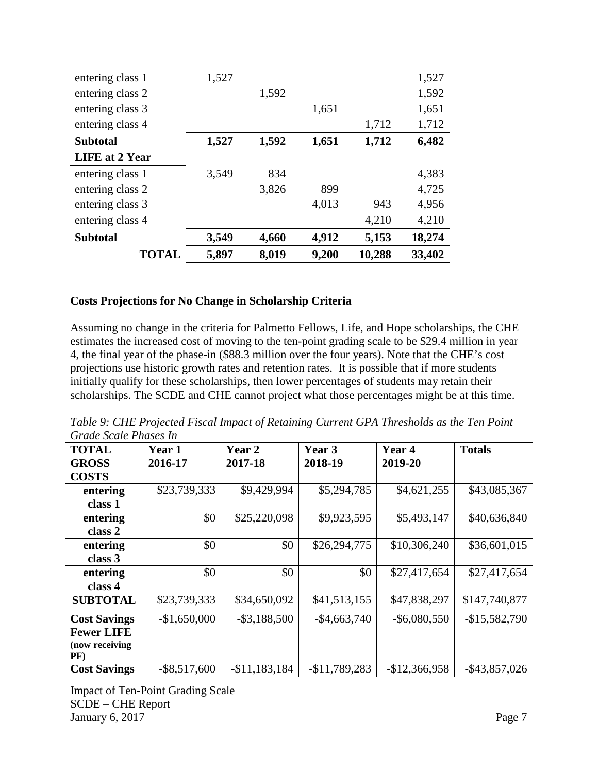| entering class 1      | 1,527 |       |       |        | 1,527  |
|-----------------------|-------|-------|-------|--------|--------|
| entering class 2      |       | 1,592 |       |        | 1,592  |
| entering class 3      |       |       | 1,651 |        | 1,651  |
| entering class 4      |       |       |       | 1,712  | 1,712  |
| <b>Subtotal</b>       | 1,527 | 1,592 | 1,651 | 1,712  | 6,482  |
| <b>LIFE</b> at 2 Year |       |       |       |        |        |
| entering class 1      | 3,549 | 834   |       |        | 4,383  |
| entering class 2      |       | 3,826 | 899   |        | 4,725  |
| entering class 3      |       |       | 4,013 | 943    | 4,956  |
| entering class 4      |       |       |       | 4,210  | 4,210  |
| <b>Subtotal</b>       | 3,549 | 4,660 | 4,912 | 5,153  | 18,274 |
| <b>TOTAL</b>          | 5,897 | 8,019 | 9,200 | 10,288 | 33,402 |

#### **Costs Projections for No Change in Scholarship Criteria**

Assuming no change in the criteria for Palmetto Fellows, Life, and Hope scholarships, the CHE estimates the increased cost of moving to the ten-point grading scale to be \$29.4 million in year 4, the final year of the phase-in (\$88.3 million over the four years). Note that the CHE's cost projections use historic growth rates and retention rates. It is possible that if more students initially qualify for these scholarships, then lower percentages of students may retain their scholarships. The SCDE and CHE cannot project what those percentages might be at this time.

<span id="page-7-0"></span>*Table 9: CHE Projected Fiscal Impact of Retaining Current GPA Thresholds as the Ten Point Grade Scale Phases In*

| <b>TOTAL</b>         | <b>Year 1</b>   | Year 2          | Year 3          | <b>Year 4</b>   | <b>Totals</b>    |
|----------------------|-----------------|-----------------|-----------------|-----------------|------------------|
| <b>GROSS</b>         | 2016-17         | 2017-18         | 2018-19         | 2019-20         |                  |
| <b>COSTS</b>         |                 |                 |                 |                 |                  |
| entering             | \$23,739,333    | \$9,429,994     | \$5,294,785     | \$4,621,255     | \$43,085,367     |
| class 1              |                 |                 |                 |                 |                  |
| entering             | \$0             | \$25,220,098    | \$9,923,595     | \$5,493,147     | \$40,636,840     |
| class 2              |                 |                 |                 |                 |                  |
| entering             | \$0             | \$0             | \$26,294,775    | \$10,306,240    | \$36,601,015     |
| class 3              |                 |                 |                 |                 |                  |
| entering             | \$0             | \$0             | \$0             | \$27,417,654    | \$27,417,654     |
| class 4              |                 |                 |                 |                 |                  |
| <b>SUBTOTAL</b>      | \$23,739,333    | \$34,650,092    | \$41,513,155    | \$47,838,297    | \$147,740,877    |
| <b>Cost Savings</b>  | $-$1,650,000$   | $-$ \$3,188,500 | $-$ \$4,663,740 | $-$ \$6,080,550 | $-$15,582,790$   |
| <b>Fewer LIFE</b>    |                 |                 |                 |                 |                  |
| (now receiving<br>PF |                 |                 |                 |                 |                  |
| <b>Cost Savings</b>  | $-$ \$8,517,600 | $-$11,183,184$  | $-$11,789,283$  | $-$12,366,958$  | $-$ \$43,857,026 |

Impact of Ten-Point Grading Scale SCDE – CHE Report January 6, 2017 Page 7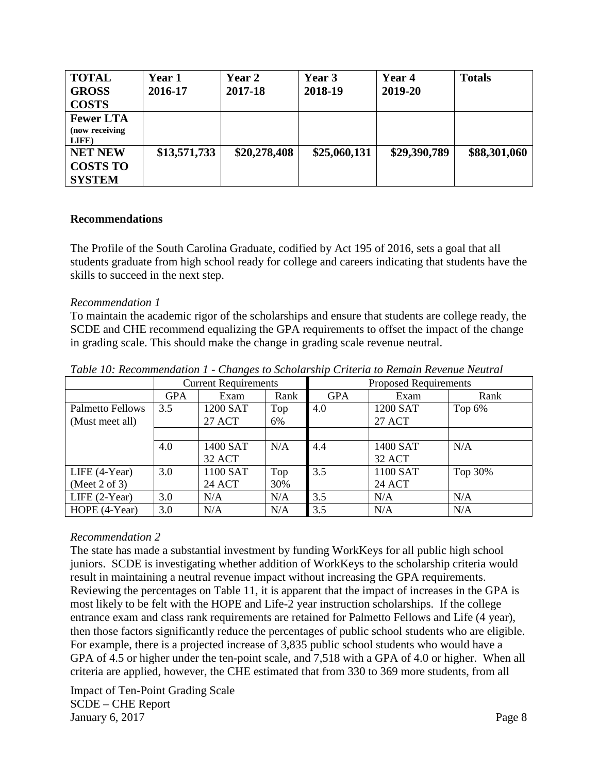| <b>TOTAL</b><br><b>GROSS</b><br><b>COSTS</b>       | Year 1<br>2016-17 | Year 2<br>2017-18 | Year 3<br>2018-19 | Year 4<br>2019-20 | <b>Totals</b> |
|----------------------------------------------------|-------------------|-------------------|-------------------|-------------------|---------------|
| <b>Fewer LTA</b><br>(now receiving<br>LIFE)        |                   |                   |                   |                   |               |
| <b>NET NEW</b><br><b>COSTS TO</b><br><b>SYSTEM</b> | \$13,571,733      | \$20,278,408      | \$25,060,131      | \$29,390,789      | \$88,301,060  |

#### <span id="page-8-0"></span>**Recommendations**

The Profile of the South Carolina Graduate, codified by Act 195 of 2016, sets a goal that all students graduate from high school ready for college and careers indicating that students have the skills to succeed in the next step.

#### <span id="page-8-1"></span>*Recommendation 1*

To maintain the academic rigor of the scholarships and ensure that students are college ready, the SCDE and CHE recommend equalizing the GPA requirements to offset the impact of the change in grading scale. This should make the change in grading scale revenue neutral.

|                         |            | <b>Current Requirements</b> |      | <b>Proposed Requirements</b> |               |           |  |  |
|-------------------------|------------|-----------------------------|------|------------------------------|---------------|-----------|--|--|
|                         | <b>GPA</b> | Exam                        | Rank | <b>GPA</b>                   | Exam          | Rank      |  |  |
| <b>Palmetto Fellows</b> | 3.5        | 1200 SAT                    | Top  | 4.0                          | 1200 SAT      | Top $6\%$ |  |  |
| (Must meet all)         |            | 27 ACT                      | 6%   |                              | <b>27 ACT</b> |           |  |  |
|                         |            |                             |      |                              |               |           |  |  |
|                         | 4.0        | 1400 SAT                    | N/A  | 4.4                          | 1400 SAT      | N/A       |  |  |
|                         |            | 32 ACT                      |      |                              | 32 ACT        |           |  |  |
| LIFE $(4-Year)$         | 3.0        | 1100 SAT                    | Top  | 3.5                          | 1100 SAT      | Top 30%   |  |  |
| (Meet 2 of 3)           |            | <b>24 ACT</b>               | 30%  |                              | <b>24 ACT</b> |           |  |  |
| LIFE $(2-Year)$         | 3.0        | N/A                         | N/A  | 3.5                          | N/A           | N/A       |  |  |
| HOPE (4-Year)           | 3.0        | N/A                         | N/A  | 3.5                          | N/A           | N/A       |  |  |

<span id="page-8-2"></span>*Table 10: Recommendation 1 - Changes to Scholarship Criteria to Remain Revenue Neutral*

#### <span id="page-8-3"></span>*Recommendation 2*

The state has made a substantial investment by funding WorkKeys for all public high school juniors. SCDE is investigating whether addition of WorkKeys to the scholarship criteria would result in maintaining a neutral revenue impact without increasing the GPA requirements. Reviewing the percentages on Table 11, it is apparent that the impact of increases in the GPA is most likely to be felt with the HOPE and Life-2 year instruction scholarships. If the college entrance exam and class rank requirements are retained for Palmetto Fellows and Life (4 year), then those factors significantly reduce the percentages of public school students who are eligible. For example, there is a projected increase of 3,835 public school students who would have a GPA of 4.5 or higher under the ten-point scale, and 7,518 with a GPA of 4.0 or higher. When all criteria are applied, however, the CHE estimated that from 330 to 369 more students, from all

Impact of Ten-Point Grading Scale SCDE – CHE Report January 6, 2017 Page 8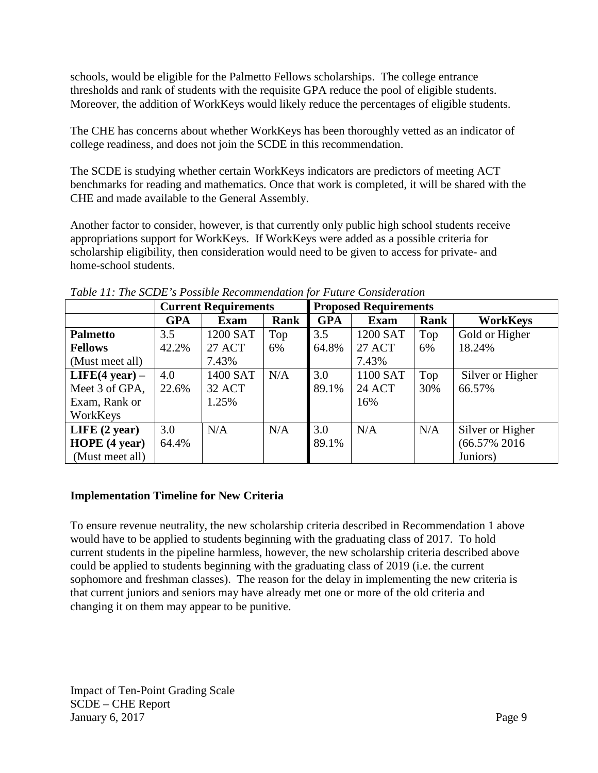schools, would be eligible for the Palmetto Fellows scholarships. The college entrance thresholds and rank of students with the requisite GPA reduce the pool of eligible students. Moreover, the addition of WorkKeys would likely reduce the percentages of eligible students.

The CHE has concerns about whether WorkKeys has been thoroughly vetted as an indicator of college readiness, and does not join the SCDE in this recommendation.

The SCDE is studying whether certain WorkKeys indicators are predictors of meeting ACT benchmarks for reading and mathematics. Once that work is completed, it will be shared with the CHE and made available to the General Assembly.

Another factor to consider, however, is that currently only public high school students receive appropriations support for WorkKeys. If WorkKeys were added as a possible criteria for scholarship eligibility, then consideration would need to be given to access for private- and home-school students.

|                         |            | <b>Current Requirements</b> |      | <b>Proposed Requirements</b> |               |      |                  |  |
|-------------------------|------------|-----------------------------|------|------------------------------|---------------|------|------------------|--|
|                         | <b>GPA</b> | <b>Exam</b>                 | Rank | <b>GPA</b>                   | <b>Exam</b>   | Rank | <b>WorkKeys</b>  |  |
| <b>Palmetto</b>         | 3.5        | 1200 SAT                    | Top  | 3.5                          | 1200 SAT      | Top  | Gold or Higher   |  |
| <b>Fellows</b>          | 42.2%      | <b>27 ACT</b>               | 6%   | 64.8%                        | <b>27 ACT</b> | 6%   | 18.24%           |  |
| (Must meet all)         |            | 7.43%                       |      |                              | 7.43%         |      |                  |  |
| $LIFE(4 year) -$        | 4.0        | 1400 SAT                    | N/A  | 3.0                          | 1100 SAT      | Top  | Silver or Higher |  |
| Meet 3 of GPA,          | 22.6%      | 32 ACT                      |      | 89.1%                        | <b>24 ACT</b> | 30%  | 66.57%           |  |
| Exam, Rank or           |            | 1.25%                       |      |                              | 16%           |      |                  |  |
| WorkKeys                |            |                             |      |                              |               |      |                  |  |
| LIFE $(2 \text{ year})$ | 3.0        | N/A                         | N/A  | 3.0                          | N/A           | N/A  | Silver or Higher |  |
| HOPE(4 year)            | 64.4%      |                             |      | 89.1%                        |               |      | $(66.57\% 2016$  |  |
| (Must meet all)         |            |                             |      |                              |               |      | Juniors)         |  |

<span id="page-9-0"></span>*Table 11: The SCDE's Possible Recommendation for Future Consideration*

### <span id="page-9-1"></span>**Implementation Timeline for New Criteria**

To ensure revenue neutrality, the new scholarship criteria described in Recommendation 1 above would have to be applied to students beginning with the graduating class of 2017. To hold current students in the pipeline harmless, however, the new scholarship criteria described above could be applied to students beginning with the graduating class of 2019 (i.e. the current sophomore and freshman classes). The reason for the delay in implementing the new criteria is that current juniors and seniors may have already met one or more of the old criteria and changing it on them may appear to be punitive.

Impact of Ten-Point Grading Scale SCDE – CHE Report January 6, 2017 Page 9